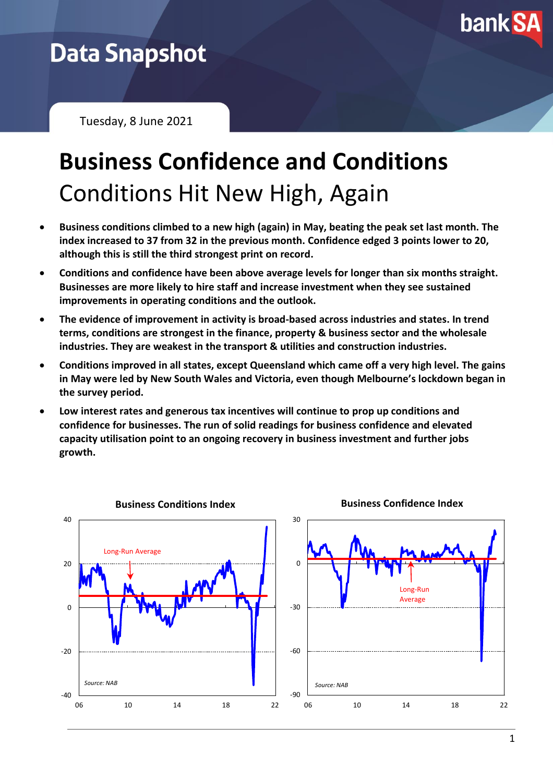

## **Data Snapshot**

Tuesday, 8 June 2021

# **Business Confidence and Conditions** Conditions Hit New High, Again

- **Business conditions climbed to a new high (again) in May, beating the peak set last month. The index increased to 37 from 32 in the previous month. Confidence edged 3 points lower to 20, although this is still the third strongest print on record.**
- **Conditions and confidence have been above average levels for longer than six months straight. Businesses are more likely to hire staff and increase investment when they see sustained improvements in operating conditions and the outlook.**
- **The evidence of improvement in activity is broad-based across industries and states. In trend terms, conditions are strongest in the finance, property & business sector and the wholesale industries. They are weakest in the transport & utilities and construction industries.**
- **Conditions improved in all states, except Queensland which came off a very high level. The gains in May were led by New South Wales and Victoria, even though Melbourne's lockdown began in the survey period.**
- **Low interest rates and generous tax incentives will continue to prop up conditions and confidence for businesses. The run of solid readings for business confidence and elevated capacity utilisation point to an ongoing recovery in business investment and further jobs growth.**

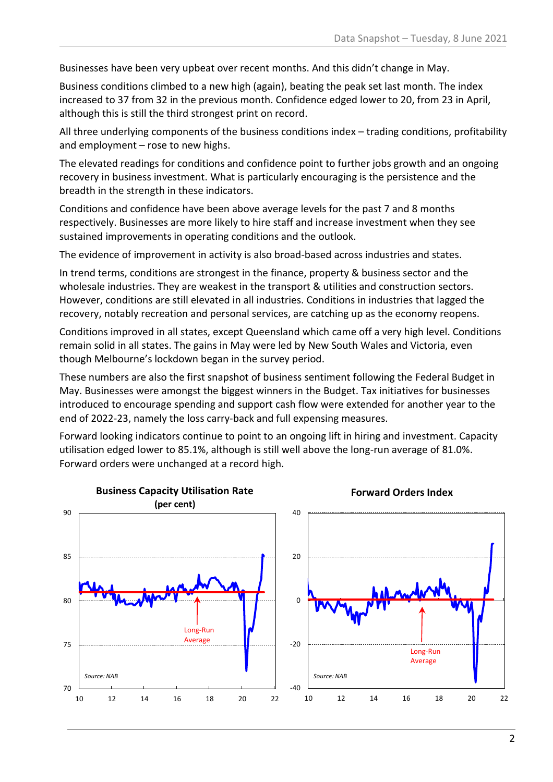Businesses have been very upbeat over recent months. And this didn't change in May.

Business conditions climbed to a new high (again), beating the peak set last month. The index increased to 37 from 32 in the previous month. Confidence edged lower to 20, from 23 in April, although this is still the third strongest print on record.

All three underlying components of the business conditions index – trading conditions, profitability and employment – rose to new highs.

The elevated readings for conditions and confidence point to further jobs growth and an ongoing recovery in business investment. What is particularly encouraging is the persistence and the breadth in the strength in these indicators.

Conditions and confidence have been above average levels for the past 7 and 8 months respectively. Businesses are more likely to hire staff and increase investment when they see sustained improvements in operating conditions and the outlook.

The evidence of improvement in activity is also broad-based across industries and states.

In trend terms, conditions are strongest in the finance, property & business sector and the wholesale industries. They are weakest in the transport & utilities and construction sectors. However, conditions are still elevated in all industries. Conditions in industries that lagged the recovery, notably recreation and personal services, are catching up as the economy reopens.

Conditions improved in all states, except Queensland which came off a very high level. Conditions remain solid in all states. The gains in May were led by New South Wales and Victoria, even though Melbourne's lockdown began in the survey period.

These numbers are also the first snapshot of business sentiment following the Federal Budget in May. Businesses were amongst the biggest winners in the Budget. Tax initiatives for businesses introduced to encourage spending and support cash flow were extended for another year to the end of 2022-23, namely the loss carry-back and full expensing measures.

Forward looking indicators continue to point to an ongoing lift in hiring and investment. Capacity utilisation edged lower to 85.1%, although is still well above the long-run average of 81.0%. Forward orders were unchanged at a record high.

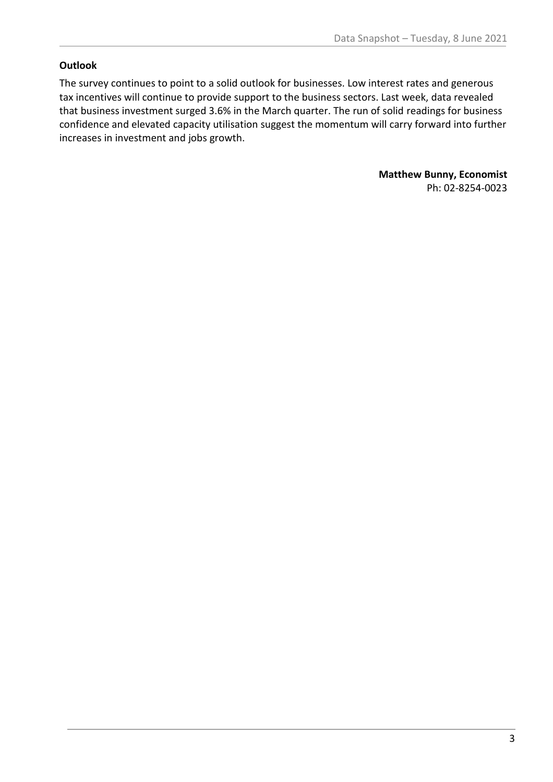#### **Outlook**

The survey continues to point to a solid outlook for businesses. Low interest rates and generous tax incentives will continue to provide support to the business sectors. Last week, data revealed that business investment surged 3.6% in the March quarter. The run of solid readings for business confidence and elevated capacity utilisation suggest the momentum will carry forward into further increases in investment and jobs growth.

> **Matthew Bunny, Economist** Ph: 02-8254-0023